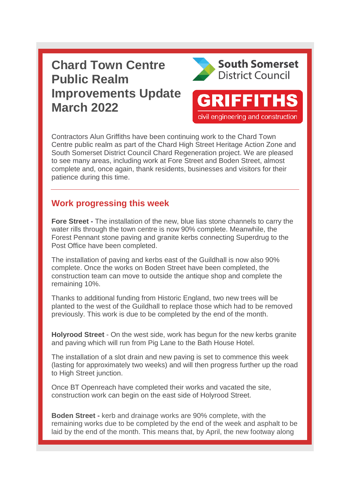## **Chard Town Centre Public Realm Improvements Update March 2022**



**GRIFFITHS** 

civil engineering and construction

Contractors Alun Griffiths have been continuing work to the Chard Town Centre public realm as part of the Chard High Street Heritage Action Zone and South Somerset District Council Chard Regeneration project. We are pleased to see many areas, including work at Fore Street and Boden Street, almost complete and, once again, thank residents, businesses and visitors for their patience during this time.

## **Work progressing this week**

**Fore Street -** The installation of the new, blue lias stone channels to carry the water rills through the town centre is now 90% complete. Meanwhile, the Forest Pennant stone paving and granite kerbs connecting Superdrug to the Post Office have been completed.

The installation of paving and kerbs east of the Guildhall is now also 90% complete. Once the works on Boden Street have been completed, the construction team can move to outside the antique shop and complete the remaining 10%.

Thanks to additional funding from Historic England, two new trees will be planted to the west of the Guildhall to replace those which had to be removed previously. This work is due to be completed by the end of the month.

**Holyrood Street** - On the west side, work has begun for the new kerbs granite and paving which will run from Pig Lane to the Bath House Hotel.

The installation of a slot drain and new paving is set to commence this week (lasting for approximately two weeks) and will then progress further up the road to High Street junction.

Once BT Openreach have completed their works and vacated the site, construction work can begin on the east side of Holyrood Street.

**Boden Street -** kerb and drainage works are 90% complete, with the remaining works due to be completed by the end of the week and asphalt to be laid by the end of the month. This means that, by April, the new footway along